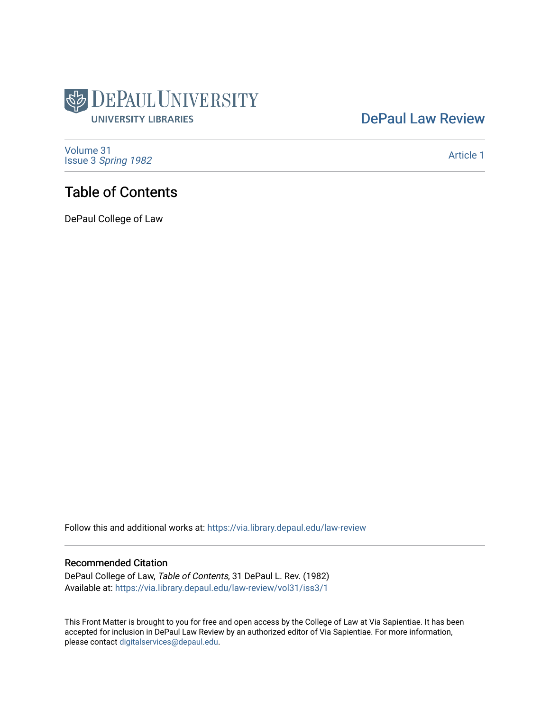

## [DePaul Law Review](https://via.library.depaul.edu/law-review)

[Volume 31](https://via.library.depaul.edu/law-review/vol31) Issue 3 [Spring 1982](https://via.library.depaul.edu/law-review/vol31/iss3) 

[Article 1](https://via.library.depaul.edu/law-review/vol31/iss3/1) 

## Table of Contents

DePaul College of Law

Follow this and additional works at: [https://via.library.depaul.edu/law-review](https://via.library.depaul.edu/law-review?utm_source=via.library.depaul.edu%2Flaw-review%2Fvol31%2Fiss3%2F1&utm_medium=PDF&utm_campaign=PDFCoverPages) 

#### Recommended Citation

DePaul College of Law, Table of Contents, 31 DePaul L. Rev. (1982) Available at: [https://via.library.depaul.edu/law-review/vol31/iss3/1](https://via.library.depaul.edu/law-review/vol31/iss3/1?utm_source=via.library.depaul.edu%2Flaw-review%2Fvol31%2Fiss3%2F1&utm_medium=PDF&utm_campaign=PDFCoverPages) 

This Front Matter is brought to you for free and open access by the College of Law at Via Sapientiae. It has been accepted for inclusion in DePaul Law Review by an authorized editor of Via Sapientiae. For more information, please contact [digitalservices@depaul.edu.](mailto:digitalservices@depaul.edu)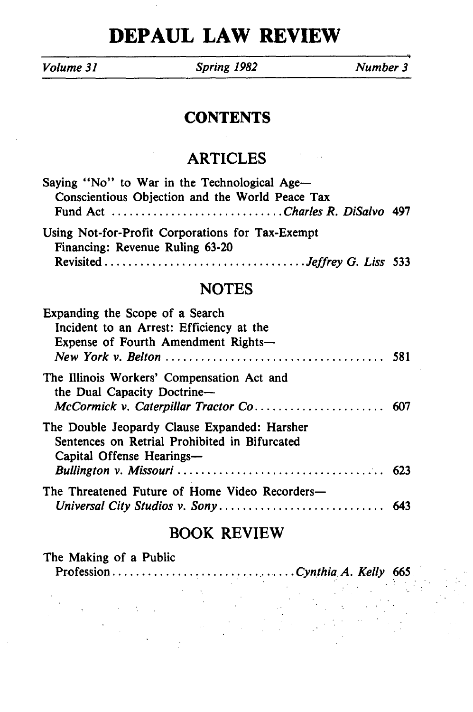# **DEPAUL LAW REVIEW**

*Volume 31 Spring 1982 Number 3*

### **CONTENTS**

### ARTICLES

| Saying "No" to War in the Technological Age-                                        |  |  |  |  |  |  |  |  |  |
|-------------------------------------------------------------------------------------|--|--|--|--|--|--|--|--|--|
| Conscientious Objection and the World Peace Tax                                     |  |  |  |  |  |  |  |  |  |
|                                                                                     |  |  |  |  |  |  |  |  |  |
| Using Not-for-Profit Corporations for Tax-Exempt<br>Financing: Revenue Ruling 63-20 |  |  |  |  |  |  |  |  |  |
|                                                                                     |  |  |  |  |  |  |  |  |  |
| <b>NOTES</b>                                                                        |  |  |  |  |  |  |  |  |  |
| Expanding the Scope of a Search                                                     |  |  |  |  |  |  |  |  |  |

| Incident to an Arrest: Efficiency at the<br>Expense of Fourth Amendment Rights-                                            |  |
|----------------------------------------------------------------------------------------------------------------------------|--|
| The Illinois Workers' Compensation Act and<br>the Dual Capacity Doctrine-                                                  |  |
| The Double Jeopardy Clause Expanded: Harsher<br>Sentences on Retrial Prohibited in Bifurcated<br>Capital Offense Hearings— |  |
| The Threatened Future of Home Video Recorders—                                                                             |  |

### BOOK REVIEW

| The Making of a Public |  |  |  |  |  |
|------------------------|--|--|--|--|--|
|                        |  |  |  |  |  |
|                        |  |  |  |  |  |
|                        |  |  |  |  |  |
|                        |  |  |  |  |  |